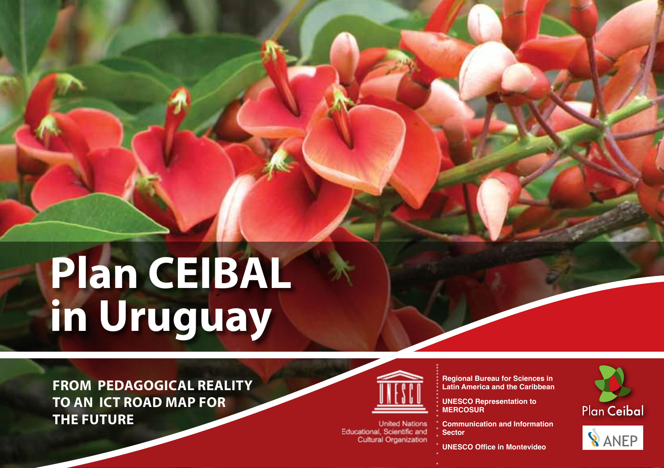# **Plan CEIBAL in Uruguay**

**FROM PEDAGOGICAL REALITY TO AN ICT ROAD MAP FOR THE FUTURE**



**United Nations** Educational, Scientific and **Cultural Organization** 

**Regional Bureau for Sciences in Latin America and the Caribbean**

**UNESCO Representation to MERCOSUR**

**Communication and Information Sector**

**UNESCO Office in Montevideo** 



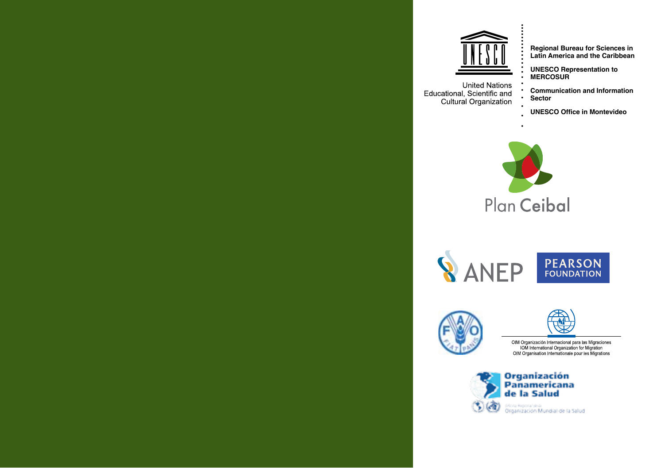

**Regional Bureau for Sciences in Latin America and the Caribbean**

**UNESCO Representation to MERCOSUR**

**Communication and Information Sector**

**UNESCO Office in Montevideo**



**SANEP** PEARSON



OIM Organización Internacional para las Migraciones<br>| OM International Organization for Migration<br>| OIM Organisation Internationale pour les Migrations

Organización<br>Panamericana<br>de la Salud



**United Nations** Educational, Scientific and Cultural Organization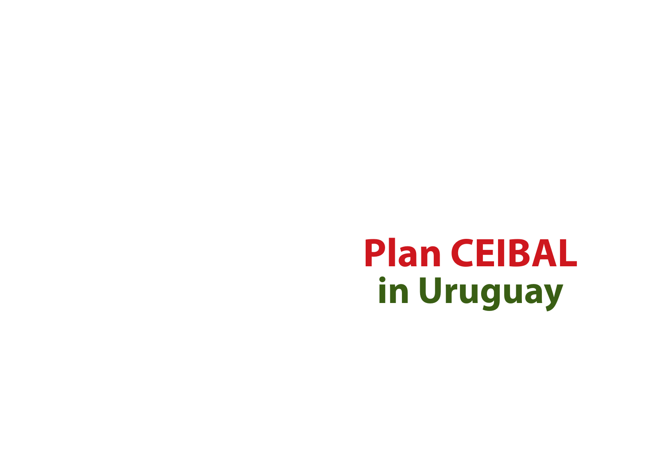# **Plan CEIBAL in Uruguay**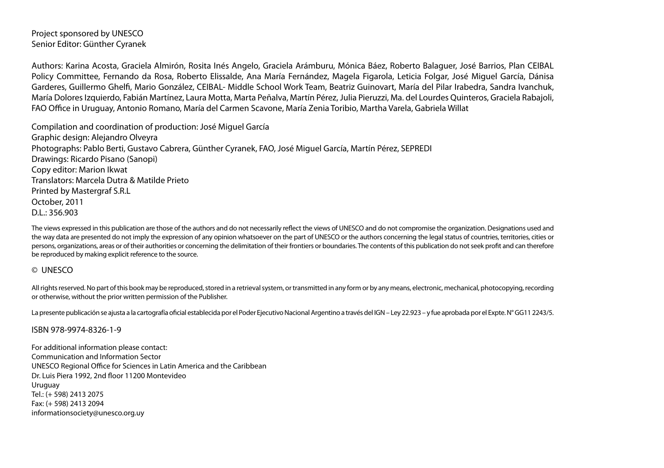Project sponsored by UNESCO Senior Editor: Günther Cyranek

Authors: Karina Acosta, Graciela Almirón, Rosita Inés Angelo, Graciela Arámburu, Mónica Báez, Roberto Balaguer, José Barrios, Plan CEIBAL Policy Committee, Fernando da Rosa, Roberto Elissalde, Ana María Fernández, Magela Figarola, Leticia Folgar, José Miguel García, Dánisa Garderes, Guillermo Ghelfi, Mario González, CEIBAL- Middle School Work Team, Beatriz Guinovart, María del Pilar Irabedra, Sandra Ivanchuk, María Dolores Izquierdo, Fabián Martínez, Laura Motta, Marta Peñalva, Martín Pérez, Julia Pieruzzi, Ma. del Lourdes Quinteros, Graciela Rabajoli, FAO Office in Uruguay, Antonio Romano, María del Carmen Scavone, María Zenia Toribio, Martha Varela, Gabriela Willat

Compilation and coordination of production: José Miguel García Graphic design: Alejandro Olveyra Photographs: Pablo Berti, Gustavo Cabrera, Günther Cyranek, FAO, José Miguel García, Martín Pérez, SEPREDI Drawings: Ricardo Pisano (Sanopi) Copy editor: Marion Ikwat Translators: Marcela Dutra & Matilde Prieto Printed by Mastergraf S.R.L October, 2011 D.L.: 356.903

The views expressed in this publication are those of the authors and do not necessarily reflect the views of UNESCO and do not compromise the organization. Designations used and the way data are presented do not imply the expression of any opinion whatsoever on the part of UNESCO or the authors concerning the legal status of countries, territories, cities or persons, organizations, areas or of their authorities or concerning the delimitation of their frontiers or boundaries. The contents of this publication do not seek profit and can therefore be reproduced by making explicit reference to the source.

#### © UNESCO

All rights reserved. No part of this book may be reproduced, stored in a retrieval system, or transmitted in any form or by any means, electronic, mechanical, photocopying, recording or otherwise, without the prior written permission of the Publisher.

La presente publicación se ajusta a la cartografía oficial establecida por el Poder Ejecutivo Nacional Argentino a través del IGN - Ley 22.923 - y fue aprobada por el Expte. Nº GG11 2243/5.

#### ISBN 978-9974-8326-1-9

For additional information please contact: Communication and Information Sector UNESCO Regional Office for Sciences in Latin America and the Caribbean Dr. Luis Piera 1992, 2nd floor 11200 Montevideo Uruguay Tel.: (+ 598) 2413 2075 Fax: (+ 598) 2413 2094 [informationsociety@unesco.org.uy](mailto:informationsociety%40unesco.org.uy?subject=Plan%20Ceibal)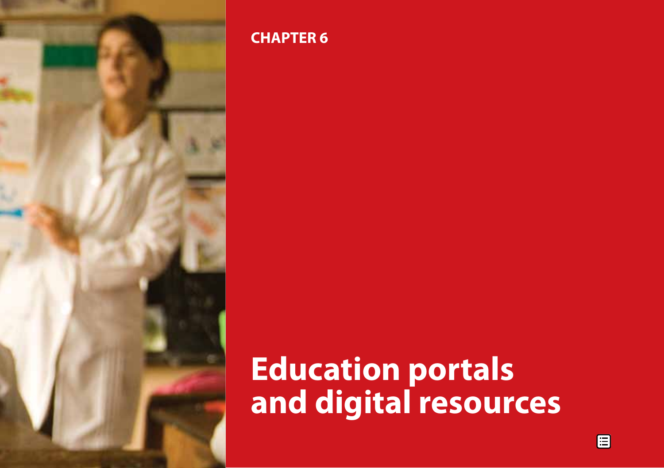

# **CHAPTER 6**

**Education portals and digital resources**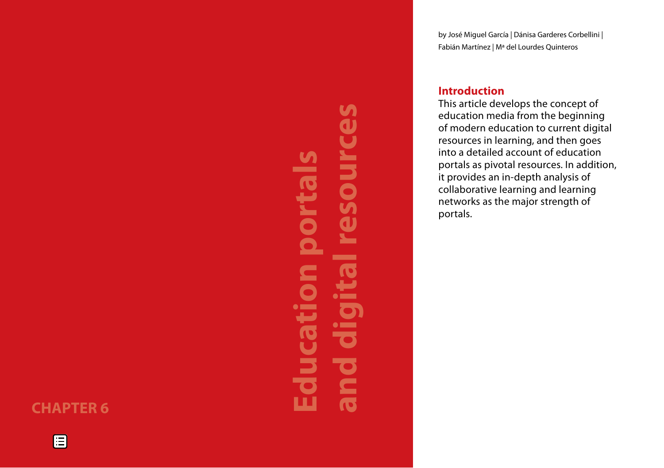# **CHAPTER 6**

E

# **and digital resources** S ource **Education portals In** <u>a sa san</u> portal S  $\mathbf 0$  $\overline{\phantom{a}}$ **COMPANY**  $\blacksquare$  $\overline{\mathbf{C}}$  $\bullet$  $\bullet$  in  $\bullet$ ucati  $\bullet$  mm  $\overline{\textbf{c}}$  $\overline{\bullet}$  $\blacksquare$  $\overline{\mathbf{C}}$ ш

by José Miguel García | Dánisa Garderes Corbellini | Fabián Martínez | Mª del Lourdes Quinteros

# **Introduction**

This article develops the concept of education media from the beginning of modern education to current digital resources in learning, and then goes into a detailed account of education portals as pivotal resources. In addition, it provides an in-depth analysis of collaborative learning and learning networks as the major strength of portals.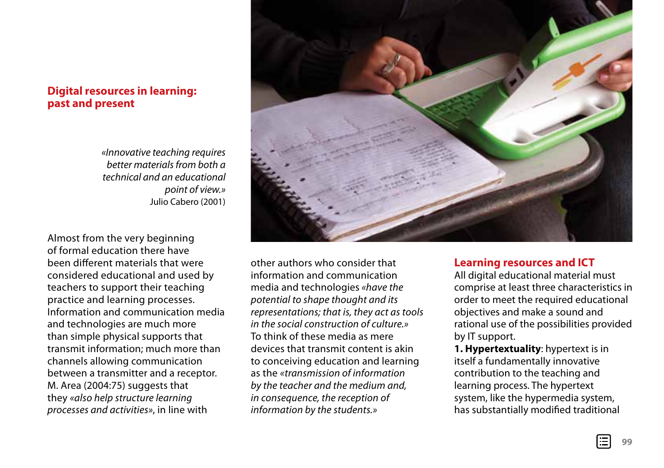## **Digital resources in learning: past and present**

*«Innovative teaching requires better materials from both a technical and an educational point of view.»*  Julio Cabero (2001)

Almost from the very beginning of formal education there have been different materials that were considered educational and used by teachers to support their teaching practice and learning processes. Information and communication media and technologies are much more than simple physical supports that transmit information; much more than channels allowing communication between a transmitter and a receptor. M. Area (2004:75) suggests that they *«also help structure learning processes and activities»*, in line with



other authors who consider that information and communication media and technologies *«have the potential to shape thought and its representations; that is, they act as tools in the social construction of culture.»* To think of these media as mere devices that transmit content is akin to conceiving education and learning as the *«transmission of information by the teacher and the medium and, in consequence, the reception of information by the students.»*

## **Learning resources and ICT**

All digital educational material must comprise at least three characteristics in order to meet the required educational objectives and make a sound and rational use of the possibilities provided by IT support.

**1. Hypertextuality**: hypertext is in itself a fundamentally innovative contribution to the teaching and learning process. The hypertext system, like the hypermedia system, has substantially modified traditional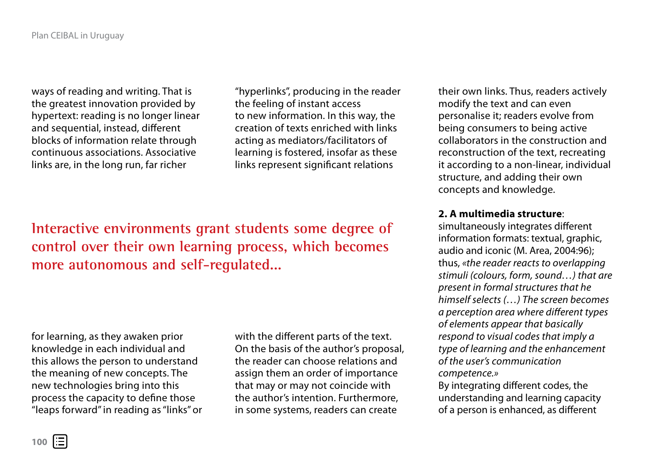ways of reading and writing. That is the greatest innovation provided by hypertext: reading is no longer linear and sequential, instead, different blocks of information relate through continuous associations. Associative links are, in the long run, far richer

"hyperlinks", producing in the reader the feeling of instant access to new information. In this way, the creation of texts enriched with links acting as mediators/facilitators of learning is fostered, insofar as these links represent significant relations

**Interactive environments grant students some degree of control over their own learning process, which becomes more autonomous and self-regulated...**

for learning, as they awaken prior knowledge in each individual and this allows the person to understand the meaning of new concepts. The new technologies bring into this process the capacity to define those "leaps forward" in reading as "links" or with the different parts of the text. On the basis of the author's proposal, the reader can choose relations and assign them an order of importance that may or may not coincide with the author's intention. Furthermore, in some systems, readers can create

their own links. Thus, readers actively modify the text and can even personalise it; readers evolve from being consumers to being active collaborators in the construction and reconstruction of the text, recreating it according to a non-linear, individual structure, and adding their own concepts and knowledge.

#### **2. A multimedia structure**:

simultaneously integrates different information formats: textual, graphic, audio and iconic (M. Area, 2004:96); thus, *«the reader reacts to overlapping stimuli (colours, form, sound…) that are present in formal structures that he himself selects (…) The screen becomes a perception area where different types of elements appear that basically respond to visual codes that imply a type of learning and the enhancement of the user's communication competence.»*

By integrating different codes, the understanding and learning capacity of a person is enhanced, as different

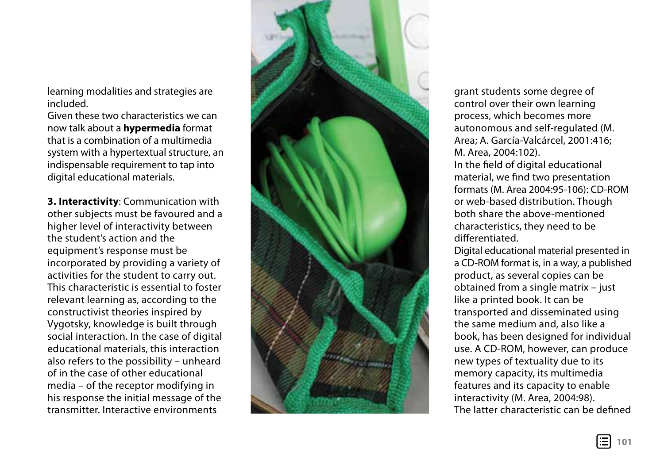learning modalities and strategies are included.

Given these two characteristics we can now talk about a **hypermedia** format that is a combination of a multimedia system with a hypertextual structure, an indispensable requirement to tap into digital educational materials.

**3. Interactivity**: Communication with other subjects must be favoured and a higher level of interactivity between the student's action and the equipment's response must be incorporated by providing a variety of activities for the student to carry out. This characteristic is essential to foster relevant learning as, according to the constructivist theories inspired by Vygotsky, knowledge is built through social interaction. In the case of digital educational materials, this interaction also refers to the possibility – unheard of in the case of other educational media – of the receptor modifying in his response the initial message of the transmitter. Interactive environments



grant students some degree of control over their own learning process, which becomes more autonomous and self-regulated (M. Area; A. García-Valcárcel, 2001:416; M. Area, 2004:102).

In the field of digital educational material, we find two presentation formats (M. Area 2004:95-106): CD-ROM or web-based distribution. Though both share the above-mentioned characteristics, they need to be differentiated.

Digital educational material presented in a CD-ROM format is, in a way, a published product, as several copies can be obtained from a single matrix – just like a printed book. It can be transported and disseminated using the same medium and, also like a book, has been designed for individual use. A CD-ROM, however, can produce new types of textuality due to its memory capacity, its multimedia features and its capacity to enable interactivity (M. Area, 2004:98). The latter characteristic can be defined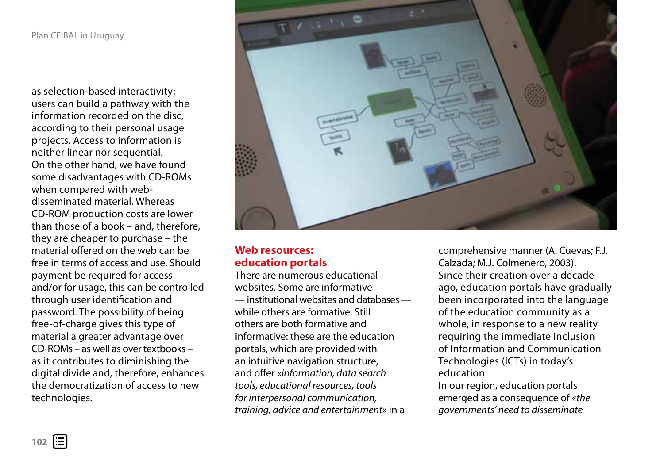as selection-based interactivity: users can build a pathway with the information recorded on the disc, according to their personal usage projects. Access to information is neither linear nor sequential. On the other hand, we have found some disadvantages with CD-ROMs when compared with webdisseminated material. Whereas CD-ROM production costs are lower than those of a book – and, therefore, they are cheaper to purchase – the material offered on the web can be free in terms of access and use. Should payment be required for access and/or for usage, this can be controlled through user identification and password. The possibility of being free-of-charge gives this type of material a greater advantage over CD-ROMs – as well as over textbooks – as it contributes to diminishing the digital divide and, therefore, enhances the democratization of access to new technologies.



# **Web resources: education portals**

There are numerous educational websites. Some are informative — institutional websites and databases while others are formative. Still others are both formative and informative: these are the education portals, which are provided with an intuitive navigation structure, and offer *«information, data search tools, educational resources, tools for interpersonal communication, training, advice and entertainment»* in a

comprehensive manner (A. Cuevas; F.J. Calzada; M.J. Colmenero, 2003). Since their creation over a decade ago, education portals have gradually been incorporated into the language of the education community as a whole, in response to a new reality requiring the immediate inclusion of Information and Communication Technologies (ICTs) in today's education.

In our region, education portals emerged as a consequence of *«the governments' need to disseminate*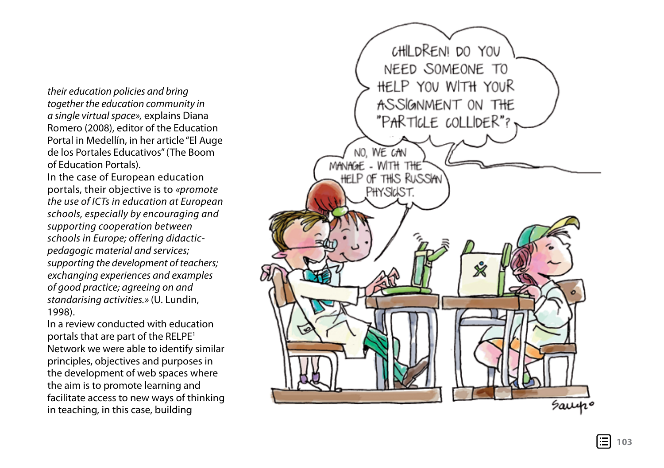*their education policies and bring together the education community in a single virtual space»,* explains Diana Romero (2008), editor of the Education Portal in Medellín, in her article "El Auge de los Portales Educativos" (The Boom of Education Portals).

In the case of European education portals, their objective is to *«promote the use of ICTs in education at European schools, especially by encouraging and supporting cooperation between schools in Europe; offering didacticpedagogic material and services; supporting the development of teachers; exchanging experiences and examples of good practice; agreeing on and standarising activities.»* (U. Lundin, 1998).

In a review conducted with education portals that are part of the RELPE<sup>1</sup> Network we were able to identify similar principles, objectives and purposes in the development of web spaces where the aim is to promote learning and facilitate access to new ways of thinking in teaching, in this case, building

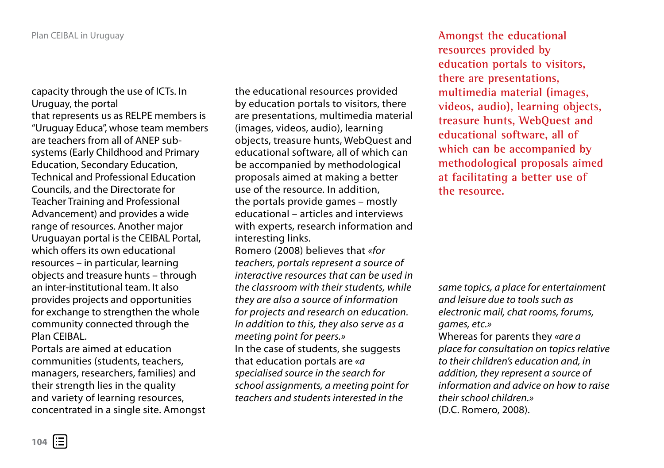capacity through the use of ICTs. In Uruguay, the portal that represents us as RELPE members is "Uruguay Educa", whose team members are teachers from all of ANEP subsystems (Early Childhood and Primary Education, Secondary Education, Technical and Professional Education Councils, and the Directorate for Teacher Training and Professional Advancement) and provides a wide range of resources. Another major Uruguayan portal is the CEIBAL Portal, which offers its own educational resources – in particular, learning objects and treasure hunts – through an inter-institutional team. It also provides projects and opportunities for exchange to strengthen the whole community connected through the Plan CEIBAL.

Portals are aimed at education communities (students, teachers, managers, researchers, families) and their strength lies in the quality and variety of learning resources, concentrated in a single site. Amongst the educational resources provided by education portals to visitors, there are presentations, multimedia material (images, videos, audio), learning objects, treasure hunts, WebQuest and educational software, all of which can be accompanied by methodological proposals aimed at making a better use of the resource. In addition, the portals provide games – mostly educational – articles and interviews with experts, research information and interesting links. Romero (2008) believes that *«for* 

*teachers, portals represent a source of interactive resources that can be used in the classroom with their students, while they are also a source of information for projects and research on education. In addition to this, they also serve as a meeting point for peers.»* In the case of students, she suggests that education portals are *«a specialised source in the search for school assignments, a meeting point for teachers and students interested in the* 

**Amongst the educational resources provided by education portals to visitors, there are presentations, multimedia material (images, videos, audio), learning objects, treasure hunts, WebQuest and educational software, all of which can be accompanied by methodological proposals aimed at facilitating a better use of the resource.**

*same topics, a place for entertainment and leisure due to tools such as electronic mail, chat rooms, forums, games, etc.»* Whereas for parents they *«are a place for consultation on topics relative to their children's education and, in addition, they represent a source of information and advice on how to raise their school children.»* (D.C. Romero, 2008).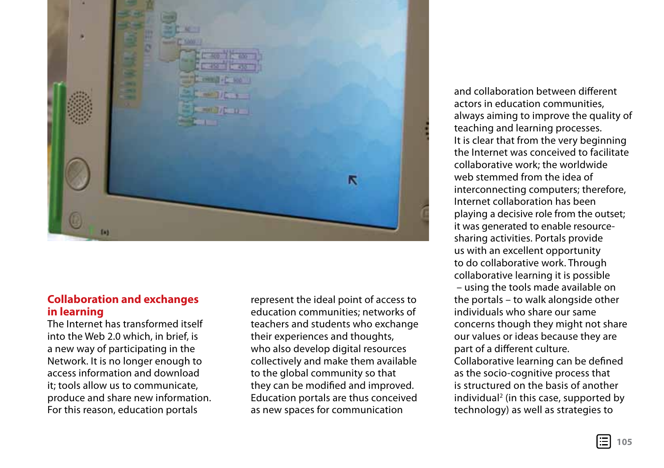

## **Collaboration and exchanges in learning**

The Internet has transformed itself into the Web 2.0 which, in brief, is a new way of participating in the Network. It is no longer enough to access information and download it; tools allow us to communicate, produce and share new information. For this reason, education portals

represent the ideal point of access to education communities; networks of teachers and students who exchange their experiences and thoughts, who also develop digital resources collectively and make them available to the global community so that they can be modified and improved. Education portals are thus conceived as new spaces for communication

and collaboration between different actors in education communities, always aiming to improve the quality of teaching and learning processes. It is clear that from the very beginning the Internet was conceived to facilitate collaborative work; the worldwide web stemmed from the idea of interconnecting computers; therefore, Internet collaboration has been playing a decisive role from the outset; it was generated to enable resourcesharing activities. Portals provide us with an excellent opportunity to do collaborative work. Through collaborative learning it is possible – using the tools made available on the portals – to walk alongside other individuals who share our same concerns though they might not share our values or ideas because they are part of a different culture. Collaborative learning can be defined as the socio-cognitive process that is structured on the basis of another individual<sup>2</sup> (in this case, supported by technology) as well as strategies to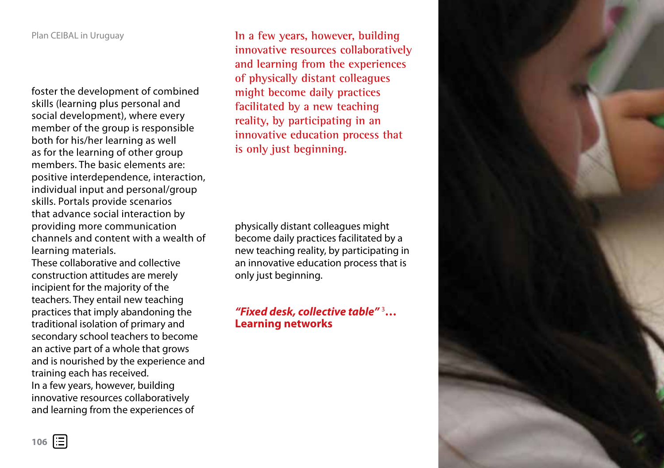#### Plan CEIBAL in Uruguay

foster the development of combined skills (learning plus personal and social development), where every member of the group is responsible both for his/her learning as well as for the learning of other group members. The basic elements are: positive interdependence, interaction, individual input and personal/group skills. Portals provide scenarios that advance social interaction by providing more communication channels and content with a wealth of learning materials.

These collaborative and collective construction attitudes are merely incipient for the majority of the teachers. They entail new teaching practices that imply abandoning the traditional isolation of primary and secondary school teachers to become an active part of a whole that grows and is nourished by the experience and training each has received. In a few years, however, building innovative resources collaboratively and learning from the experiences of

**In a few years, however, building innovative resources collaboratively and learning from the experiences of physically distant colleagues might become daily practices facilitated by a new teaching reality, by participating in an innovative education process that is only just beginning.**

physically distant colleagues might become daily practices facilitated by a new teaching reality, by participating in an innovative education process that is only just beginning.

# *"Fixed desk, collective table"* 3 **… Learning networks**

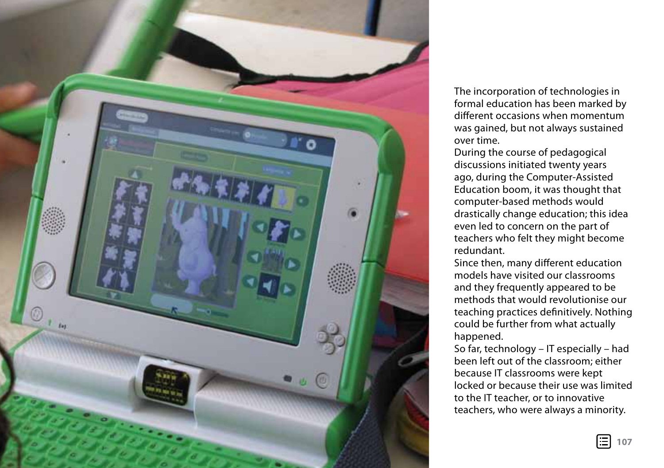

The incorporation of technologies in formal education has been marked by different occasions when momentum was gained, but not always sustained over time.

During the course of pedagogical discussions initiated twenty years ago, during the Computer-Assisted Education boom, it was thought that computer-based methods would drastically change education; this idea even led to concern on the part of teachers who felt they might become redundant.

Since then, many different education models have visited our classrooms and they frequently appeared to be methods that would revolutionise our teaching practices definitively. Nothing could be further from what actually happened.

So far, technology – IT especially – had been left out of the classroom; either because IT classrooms were kept locked or because their use was limited to the IT teacher, or to innovative teachers, who were always a minority.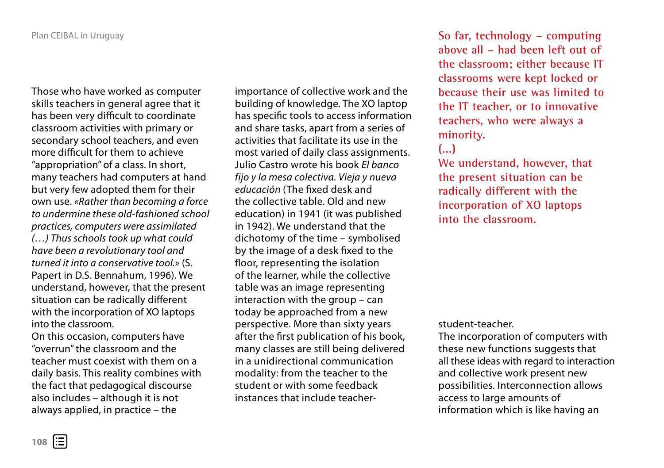Those who have worked as computer skills teachers in general agree that it has been very difficult to coordinate classroom activities with primary or secondary school teachers, and even more difficult for them to achieve "appropriation" of a class. In short, many teachers had computers at hand but very few adopted them for their own use. *«Rather than becoming a force to undermine these old-fashioned school practices, computers were assimilated (…) Thus schools took up what could have been a revolutionary tool and turned it into a conservative tool.»* (S. Papert in D.S. Bennahum, 1996). We understand, however, that the present situation can be radically different with the incorporation of XO laptops into the classroom.

On this occasion, computers have "overrun" the classroom and the teacher must coexist with them on a daily basis. This reality combines with the fact that pedagogical discourse also includes – although it is not always applied, in practice – the

importance of collective work and the building of knowledge. The XO laptop has specific tools to access information and share tasks, apart from a series of activities that facilitate its use in the most varied of daily class assignments. Julio Castro wrote his book *El banco fijo y la mesa colectiva. Vieja y nueva educación* (The fixed desk and the collective table. Old and new education) in 1941 (it was published in 1942). We understand that the dichotomy of the time – symbolised by the image of a desk fixed to the floor, representing the isolation of the learner, while the collective table was an image representing interaction with the group – can today be approached from a new perspective. More than sixty years after the first publication of his book, many classes are still being delivered in a unidirectional communication modality: from the teacher to the student or with some feedback instances that include teacher**So far, technology – computing above all – had been left out of the classroom; either because IT classrooms were kept locked or because their use was limited to the IT teacher, or to innovative teachers, who were always a minority.**

# **(...)**

**We understand, however, that the present situation can be radically different with the incorporation of XO laptops into the classroom.**

#### student-teacher.

The incorporation of computers with these new functions suggests that all these ideas with regard to interaction and collective work present new possibilities. Interconnection allows access to large amounts of information which is like having an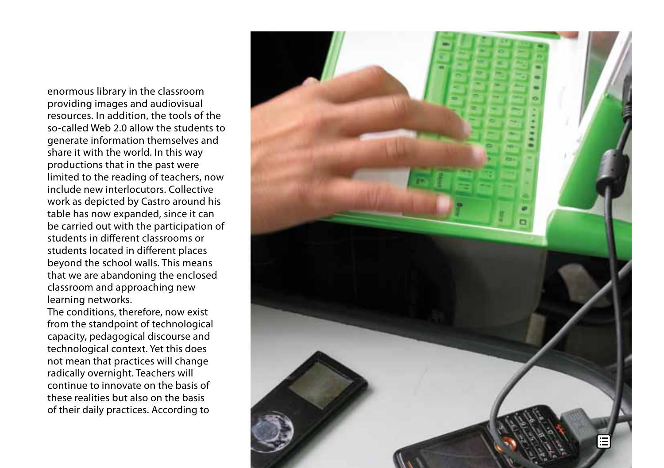enormous library in the classroom providing images and audiovisual resources. In addition, the tools of the so-called Web 2.0 allow the students to generate information themselves and share it with the world. In this way productions that in the past were limited to the reading of teachers, now include new interlocutors. Collective work as depicted by Castro around his table has now expanded, since it can be carried out with the participation of students in different classrooms or students located in different places beyond the school walls. This means that we are abandoning the enclosed classroom and approaching new learning networks.

The conditions, therefore, now exist from the standpoint of technological capacity, pedagogical discourse and technological context. Yet this does not mean that practices will change radically overnight. Teachers will continue to innovate on the basis of these realities but also on the basis of their daily practices. According to

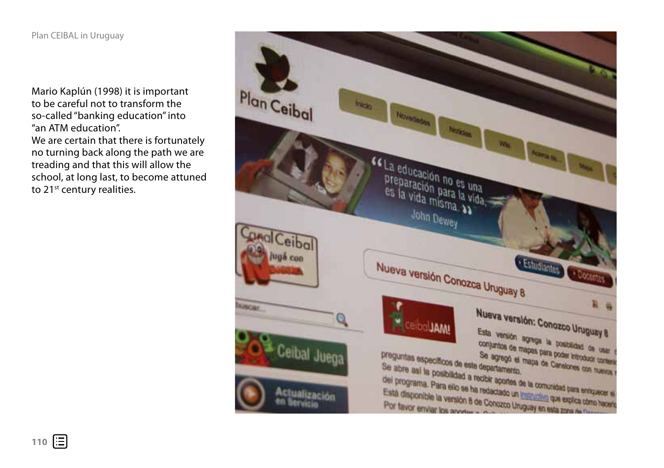Mario Kaplún (1998) it is important to be careful not to transform the so-called "banking education" into "an ATM education". We are certain that there is fortunately no turning back along the path we are treading and that this will allow the school, at long last, to become attuned to 21<sup>st</sup> century realities.